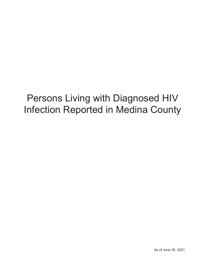# Persons Living with Diagnosed HIV Infection Reported in Medina County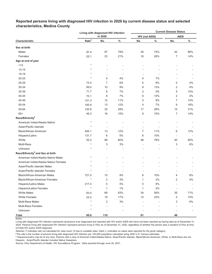|                                              |                   | Living with diagnosed HIV infection |                | <b>Current Disease Status</b> |       |                          |       |  |  |  |  |
|----------------------------------------------|-------------------|-------------------------------------|----------------|-------------------------------|-------|--------------------------|-------|--|--|--|--|
|                                              |                   | in 2020                             |                | <b>HIV (not AIDS)</b>         |       | <b>AIDS</b>              |       |  |  |  |  |
| Characteristic                               | Rate <sup>a</sup> | No.                                 | $\%$           | No.                           | $\%$  | No.                      | $\%$  |  |  |  |  |
| Sex at birth                                 |                   |                                     |                |                               |       |                          |       |  |  |  |  |
| Males                                        | 97.4              | 87                                  | 79%            | 45                            | 74%   | 42                       | 86%   |  |  |  |  |
| Females                                      | 25.1              | 23                                  | 21%            | 16                            | 26%   | $\overline{7}$           | 14%   |  |  |  |  |
| Age at end of year                           |                   |                                     |                |                               |       |                          |       |  |  |  |  |
| < 13                                         | $\star$           |                                     |                |                               |       |                          |       |  |  |  |  |
| $13 - 14$                                    |                   |                                     |                |                               |       |                          |       |  |  |  |  |
| $15 - 19$                                    |                   | ٠                                   | ÷              |                               | ÷     |                          |       |  |  |  |  |
| $20 - 24$                                    | $\star$           | 4                                   | 4%             | 4                             | 7%    |                          |       |  |  |  |  |
| 25-29                                        | 73.4              | $\overline{7}$                      | 6%             | 5                             | 8%    | 2                        | 4%    |  |  |  |  |
| 30-34                                        | 99.0              | 10                                  | 9%             | 8                             | 13%   | 2                        | 4%    |  |  |  |  |
| 35-39                                        | 71.7              | 8                                   | 7%             | 3                             | 5%    | 5                        | 10%   |  |  |  |  |
| 40-44                                        | 70.1              | 8                                   | 7%             | 6                             | 10%   | $\overline{2}$           | 4%    |  |  |  |  |
| 45-49                                        | 101.3             | 12                                  | 11%            | 5                             | 8%    | $\overline{7}$           | 14%   |  |  |  |  |
| 50-54                                        | 100.9             | 13                                  | 12%            | 4                             | 7%    | 9                        | 18%   |  |  |  |  |
| 55-64                                        | 120.8             | 32                                  | 29%            | 17                            | 28%   | 15                       | 31%   |  |  |  |  |
| $65+$                                        | 46.3              | 16                                  | 15%            | 9                             | 15%   | $\overline{7}$           | 14%   |  |  |  |  |
| Race/Ethnicity <sup>b</sup>                  |                   |                                     |                |                               |       |                          |       |  |  |  |  |
| American Indian/Alaska Native                | $\star$           |                                     |                |                               |       |                          |       |  |  |  |  |
| Asian/Pacific Islander                       | $\star$           | $\overline{\phantom{a}}$            |                |                               |       | ٠                        |       |  |  |  |  |
| Black/African-American                       | 494.1             | 13                                  | 12%            | 7                             | 11%   | 6                        | 12%   |  |  |  |  |
| Hispanic/Latinx                              | 131.7             | 6                                   | $5\%$          | 6                             | 10%   | ÷,                       |       |  |  |  |  |
| White                                        | 52.2              | 88                                  | 80%            | 48                            | 79%   | 40                       | 82%   |  |  |  |  |
| Multi-Race                                   | $\star$           | 3                                   | 3%             |                               |       | 3                        | 6%    |  |  |  |  |
| Unknown                                      | $\star$           |                                     |                |                               |       |                          |       |  |  |  |  |
| Race/Ethnicity <sup>b</sup> and Sex at birth |                   |                                     |                |                               |       |                          |       |  |  |  |  |
| American Indian/Alaska Native Males          | $\star$           |                                     |                |                               |       |                          |       |  |  |  |  |
| American Indian/Alaska Native Females        |                   |                                     |                |                               |       |                          |       |  |  |  |  |
| Asian/Pacific Islander Males                 |                   |                                     |                |                               |       |                          |       |  |  |  |  |
| Asian/Pacific Islander Females               |                   | ٠                                   | $\overline{a}$ |                               |       |                          |       |  |  |  |  |
| Black/African-American Males                 | 721.0             | 10                                  | 9%             | 6                             | 10%   | 4                        | 8%    |  |  |  |  |
| <b>Black/African-American Females</b>        | $\star$           | 3                                   | 3%             | 1                             | 2%    | $\overline{2}$           | 4%    |  |  |  |  |
| Hispanic/Latino Males                        | 217.4             | 5                                   | 5%             | 5                             | 8%    | $\blacksquare$           |       |  |  |  |  |
| Hispanic/Latina Females                      | $^\star$          | $\mathbf{1}$                        | 1%             | $\mathbf{1}$                  | $2\%$ | $\overline{\phantom{a}}$ |       |  |  |  |  |
| <b>White Males</b>                           | 83.0              | 69                                  | 63%            | 34                            | 56%   | 35                       | 71%   |  |  |  |  |
| <b>White Females</b>                         | 22.2              | 19                                  | 17%            | 14                            | 23%   | 5                        | 10%   |  |  |  |  |
| Multi-Race Males                             | $\star$           | 3                                   | $3%$           |                               |       | 3                        | $6\%$ |  |  |  |  |
| <b>Multi-Race Females</b>                    |                   |                                     |                |                               |       |                          |       |  |  |  |  |
| Unknown                                      | $\star$           | ÷                                   |                |                               |       |                          |       |  |  |  |  |
| <b>Total</b>                                 | 60.8              | 110                                 |                | 61                            |       | 49                       |       |  |  |  |  |

## **Reported persons living with diagnosed HIV infection in 2020 by current disease status and selected characteristics, Medina County**

Living with diagnosed HIV infection represents all persons ever diagnosed and reported with HIV and/or AIDS who have not been reported as having died as of December 31, 2020. Persons living with diagnosed HIV infection represent persons living in Ohio as of December 31, 2020, regardless of whether the person was a resident of Ohio at time of initial HIV and/or AIDS diagnosis.

Asterisk (\*) indicates rate not calculated for case count <5 due to unstable rates. Dash (-) indicates no cases were reported for the given category.

<sup>a</sup>The rate is the number of persons living with diagnosed HIV infection per 100,000 population calculated using 2020 U.S. Census estimates.

ᵇ Hispanics/Latinx may be of any race. Persons with a race of American Indian/Alaska Native, Asian/Pacific Islander, Black/African-American, White, or Multi-Race are not-Hispanic. Asian/Pacific Islander includes Native Hawaiians.

Source: Ohio Department of Health, HIV Surveillance Program. Data reported through June 30, 2021.

Notes: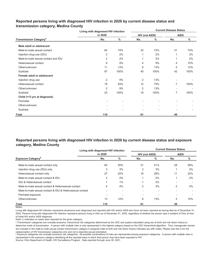|                                          | Living with diagnosed HIV infection |                          | <b>Current Disease Status</b> |                          |                |      |  |  |  |  |
|------------------------------------------|-------------------------------------|--------------------------|-------------------------------|--------------------------|----------------|------|--|--|--|--|
|                                          | in 2020                             |                          | <b>HIV (not AIDS)</b>         |                          | <b>AIDS</b>    |      |  |  |  |  |
| <b>Transmission Category<sup>a</sup></b> | No.                                 | $\%$                     | No.                           | $\%$                     | No.            | $\%$ |  |  |  |  |
| Male adult or adolescent                 |                                     |                          |                               |                          |                |      |  |  |  |  |
| Male-to-male sexual contact              | 64                                  | 74%                      | 33                            | 73%                      | 31             | 74%  |  |  |  |  |
| Injection drug use (IDU)                 | 2                                   | 2%                       | 1                             | 2%                       | 1              | 2%   |  |  |  |  |
| Male-to-male sexual contact and IDU      | 2                                   | 2%                       | 1                             | 2%                       |                | 2%   |  |  |  |  |
| Heterosexual contact                     | 8                                   | 9%                       | 4                             | 9%                       | 4              | 10%  |  |  |  |  |
| Other/unknown                            | 11                                  | 13%                      | 6                             | 13%                      | 5              | 12%  |  |  |  |  |
| Subtotal                                 | 87                                  | 100%                     | 45                            | 100%                     | 42             | 100% |  |  |  |  |
| Female adult or adolescent               |                                     |                          |                               |                          |                |      |  |  |  |  |
| Injection drug use                       | $\overline{2}$                      | 9%                       | 2                             | 13%                      |                |      |  |  |  |  |
| Heterosexual contact                     | 19                                  | 83%                      | 12                            | 75%                      | $\overline{7}$ | 100% |  |  |  |  |
| Other/unknown                            | $\overline{2}$                      | 9%                       | 2                             | 13%                      |                |      |  |  |  |  |
| Subtotal                                 | 23                                  | 100%                     | 16                            | 100%                     | $\overline{7}$ | 100% |  |  |  |  |
| Child (<13 yrs at diagnosis)             |                                     |                          |                               |                          |                |      |  |  |  |  |
| Perinatal                                |                                     |                          |                               |                          |                |      |  |  |  |  |
| Other/unknown                            |                                     | $\overline{\phantom{a}}$ | ٠                             | ٠                        |                |      |  |  |  |  |
| Subtotal                                 |                                     |                          |                               | $\overline{\phantom{a}}$ |                |      |  |  |  |  |
| Total                                    | 110                                 |                          | 61                            |                          | 49             |      |  |  |  |  |

## **Reported persons living with diagnosed HIV infection in 2020 by current disease status and transmission category, Medina County**

## **Reported persons living with diagnosed HIV infection in 2020 by current disease status and exposure category, Medina County**

|                                                          | Living with diagnosed HIV infection |     | <b>Current Disease Status</b> |      |                          |     |  |  |  |  |  |
|----------------------------------------------------------|-------------------------------------|-----|-------------------------------|------|--------------------------|-----|--|--|--|--|--|
|                                                          | in 2020                             |     | <b>HIV (not AIDS)</b>         |      | <b>AIDS</b>              |     |  |  |  |  |  |
| <b>Exposure Category</b> <sup>b</sup>                    | No.                                 | %   | No.                           | $\%$ | No.                      | %   |  |  |  |  |  |
| Male-to-male sexual contact only                         | 60                                  | 55% | 31                            | 51%  | 29                       | 59% |  |  |  |  |  |
| Injection drug use (IDU) only                            | 3                                   | 3%  | 2                             | 3%   |                          | 2%  |  |  |  |  |  |
| Heterosexual contact only                                | 27                                  | 25% | 16                            | 26%  | 11                       | 22% |  |  |  |  |  |
| Male-to-male sexual contact & IDU                        | 2                                   | 2%  |                               | 2%   |                          | 2%  |  |  |  |  |  |
| <b>IDU &amp; Heterosexual contact</b>                    |                                     | 1%  |                               | 2%   | $\overline{\phantom{a}}$ |     |  |  |  |  |  |
| Male-to-male sexual contact & Heterosexual contact       | 4                                   | 4%  | $\overline{2}$                | 3%   | 2                        | 4%  |  |  |  |  |  |
| Male-to-male sexual contact & IDU & Heterosexual contact |                                     | -   |                               |      |                          |     |  |  |  |  |  |
| Perinatal exposure                                       |                                     |     |                               |      |                          |     |  |  |  |  |  |
| Other/unknown                                            | 13                                  | 12% | 8                             | 13%  | 5                        | 10% |  |  |  |  |  |
| Total                                                    | 110                                 |     | 61                            |      | 49                       |     |  |  |  |  |  |

Notes:

Living with diagnosed HIV infection represents all persons ever diagnosed and reported with HIV and/or AIDS who have not been reported as having died as of December 31, 2020. Persons living with diagnosed HIV infection represent persons living in Ohio as of December 31, 2020, regardless of whether the person was a resident of Ohio at time of initial HIV and/or AIDS diagnosis.

Dash (-) indicates no cases were reported for the given category.

a Transmission categories are mutually exclusive, hierarchical risk categories determined by the CDC and system-calculated using sex at birth and risk factor history to determine mode of transmission. A person with multiple risks is only represented in the highest category based on the CDC hierarchical algorithm. Thus, transgender women are included in the male-to-male sexual contact transmission category if assigned male at birth and risk factor history indicates sex with males. Please note this is for the

cateqorization of HIV transmission cateqories only and not to describe sexual orientation.<br>▷ Exposure categories are mutually exclusive risk categories. All possible combinations of risks are represented among exposure c represented in the exposure category identifying all the reported ways in which that person may have been exposed to HIV.

Source: Ohio Department of Health, HIV Surveillance Program. Data reported through June 30, 2021.